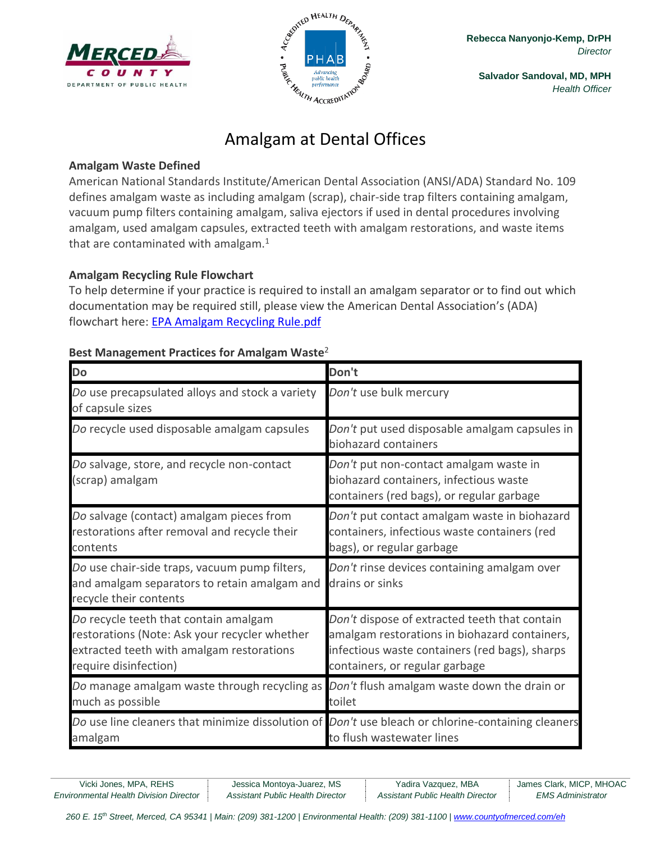



**Salvador Sandoval, MD, MPH** *Health Officer*

# Amalgam at Dental Offices

## **Amalgam Waste Defined**

American National Standards Institute/American Dental Association (ANSI/ADA) Standard No. 109 defines amalgam waste as including amalgam (scrap), chair-side trap filters containing amalgam, vacuum pump filters containing amalgam, saliva ejectors if used in dental procedures involving amalgam, used amalgam capsules, extracted teeth with amalgam restorations, and waste items that are contaminated with amalgam. $<sup>1</sup>$ </sup>

## **Amalgam Recycling Rule Flowchart**

To help determine if your practice is required to install an amalgam separator or to find out which documentation may be required still, please view the American Dental Association's (ADA) flowchart here: [EPA Amalgam Recycling Rule.pdf](EPA%20Amalgam%20Recycling%20Rule.pdf)

| Do                                                                                                                                                           | Don't                                                                                                                                                                              |
|--------------------------------------------------------------------------------------------------------------------------------------------------------------|------------------------------------------------------------------------------------------------------------------------------------------------------------------------------------|
| Do use precapsulated alloys and stock a variety<br>of capsule sizes                                                                                          | Don't use bulk mercury                                                                                                                                                             |
| Do recycle used disposable amalgam capsules                                                                                                                  | Don't put used disposable amalgam capsules in<br>biohazard containers                                                                                                              |
| Do salvage, store, and recycle non-contact<br>(scrap) amalgam                                                                                                | Don't put non-contact amalgam waste in<br>biohazard containers, infectious waste<br>containers (red bags), or regular garbage                                                      |
| Do salvage (contact) amalgam pieces from<br>restorations after removal and recycle their<br>contents                                                         | Don't put contact amalgam waste in biohazard<br>containers, infectious waste containers (red<br>bags), or regular garbage                                                          |
| Do use chair-side traps, vacuum pump filters,<br>and amalgam separators to retain amalgam and<br>recycle their contents                                      | Don't rinse devices containing amalgam over<br>drains or sinks                                                                                                                     |
| Do recycle teeth that contain amalgam<br>restorations (Note: Ask your recycler whether<br>extracted teeth with amalgam restorations<br>require disinfection) | Don't dispose of extracted teeth that contain<br>amalgam restorations in biohazard containers,<br>infectious waste containers (red bags), sharps<br>containers, or regular garbage |
| Do manage amalgam waste through recycling as<br>much as possible                                                                                             | Don't flush amalgam waste down the drain or<br>toilet                                                                                                                              |
| Do use line cleaners that minimize dissolution of Don't use bleach or chlorine-containing cleaners<br>amalgam                                                | to flush wastewater lines                                                                                                                                                          |

## **Best Management Practices for Amalgam Waste**<sup>2</sup>

*Environmental Health Division Director Assistant Public Health Director Assistant Public Health Director EMS Administrator*

Vicki Jones, MPA, REHS | Jessica Montoya-Juarez, MS | Yadira Vazquez, MBA | James Clark, MICP, MHOAC